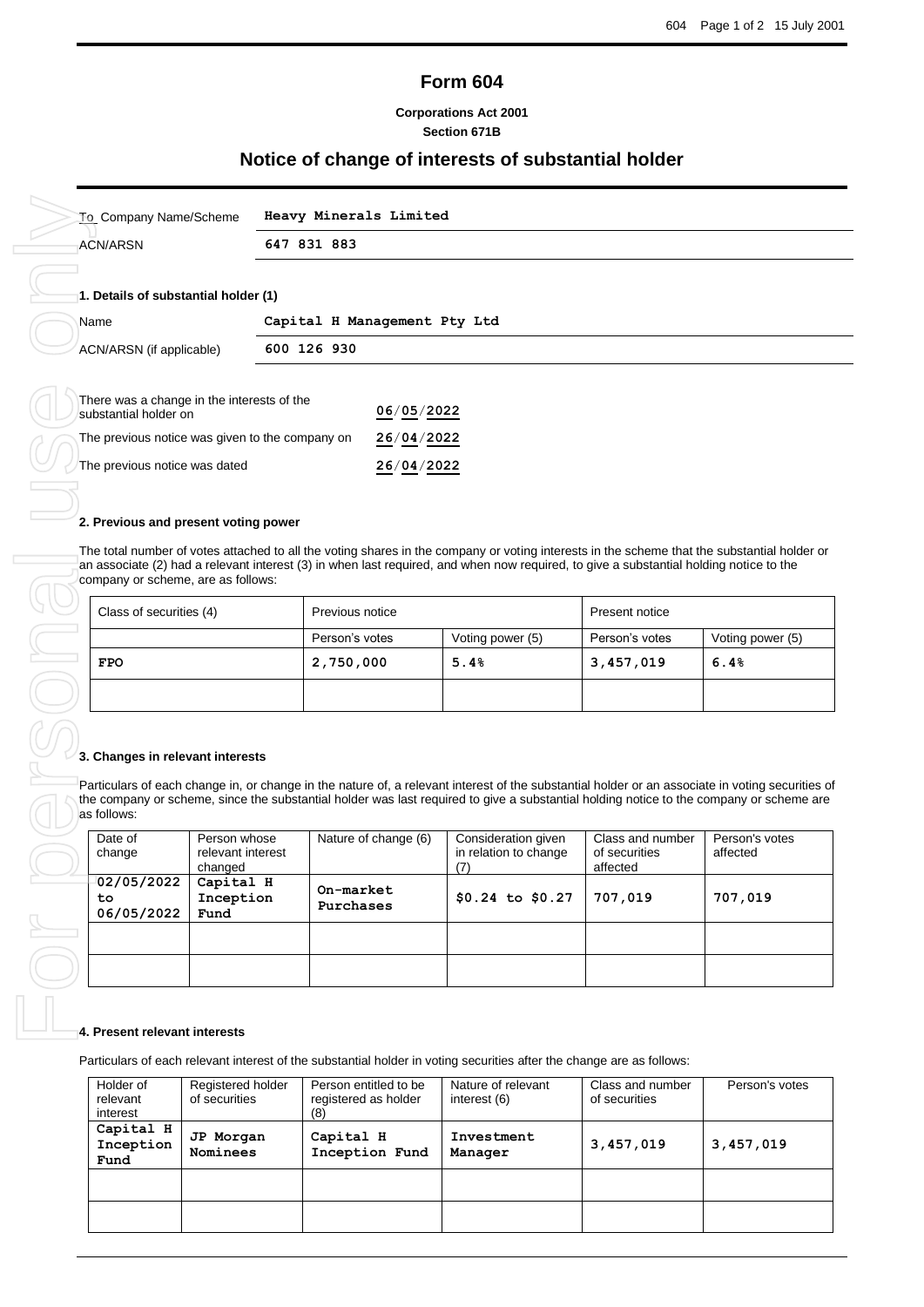# **Form 604**

# **Corporations Act 2001 Section 671B**

# **Notice of change of interests of substantial holder**

| To Company Name/Scheme                                              | Heavy Minerals Limited       |            |  |  |
|---------------------------------------------------------------------|------------------------------|------------|--|--|
| <b>ACN/ARSN</b>                                                     | 647 831 883                  |            |  |  |
| 1. Details of substantial holder (1)                                |                              |            |  |  |
| Name                                                                | Capital H Management Pty Ltd |            |  |  |
| ACN/ARSN (if applicable)                                            | 600 126 930                  |            |  |  |
| There was a change in the interests of the<br>substantial holder on |                              | 06/05/2022 |  |  |
| The previous notice was given to the company on                     |                              | 26/04/2022 |  |  |

| 2. Previous and present voting power<br>The total number of votes attached to all the voting shares in the company or voting interests in the scheme that the substantial holder or |                                   |                  |                |                  |  |  |  |  |
|-------------------------------------------------------------------------------------------------------------------------------------------------------------------------------------|-----------------------------------|------------------|----------------|------------------|--|--|--|--|
| an associate (2) had a relevant interest (3) in when last required, and when now required, to give a substantial holding notice to the<br>company or scheme, are as follows:        |                                   |                  |                |                  |  |  |  |  |
| Class of securities (4)                                                                                                                                                             | Previous notice<br>Present notice |                  |                |                  |  |  |  |  |
|                                                                                                                                                                                     | Person's votes                    | Voting power (5) | Person's votes | Voting power (5) |  |  |  |  |
| <b>FPO</b>                                                                                                                                                                          | 2,750,000                         | 5.4%             | 3,457,019      | 6.4%             |  |  |  |  |
|                                                                                                                                                                                     |                                   |                  |                |                  |  |  |  |  |

# **3. Changes in relevant interests**

Particulars of each change in, or change in the nature of, a relevant interest of the substantial holder or an associate in voting securities of the company or scheme, since the substantial holder was last required to give a substantial holding notice to the company or scheme are as follows:

| Date of<br>change              | Person whose<br>relevant interest<br>changed | Nature of change (6)   | Consideration given<br>in relation to change | Class and number<br>of securities<br>affected | Person's votes<br>affected |
|--------------------------------|----------------------------------------------|------------------------|----------------------------------------------|-----------------------------------------------|----------------------------|
| 02/05/2022<br>to<br>06/05/2022 | Capital H<br>Inception<br>Fund               | On-market<br>Purchases | $$0.24$ to $$0.27$                           | 707,019                                       | 707,019                    |
|                                |                                              |                        |                                              |                                               |                            |
|                                |                                              |                        |                                              |                                               |                            |

### **4. Present relevant interests**

Particulars of each relevant interest of the substantial holder in voting securities after the change are as follows:

| Holder of<br>relevant<br>interest | Registered holder<br>of securities | Person entitled to be<br>registered as holder<br>(8) | Nature of relevant<br>interest (6) | Class and number<br>of securities | Person's votes |
|-----------------------------------|------------------------------------|------------------------------------------------------|------------------------------------|-----------------------------------|----------------|
| Capital H<br>Inception<br>Fund    | JP Morgan<br>Nominees              | Capital H<br>Inception Fund                          | Investment<br>Manager              | 3,457,019                         | 3,457,019      |
|                                   |                                    |                                                      |                                    |                                   |                |
|                                   |                                    |                                                      |                                    |                                   |                |